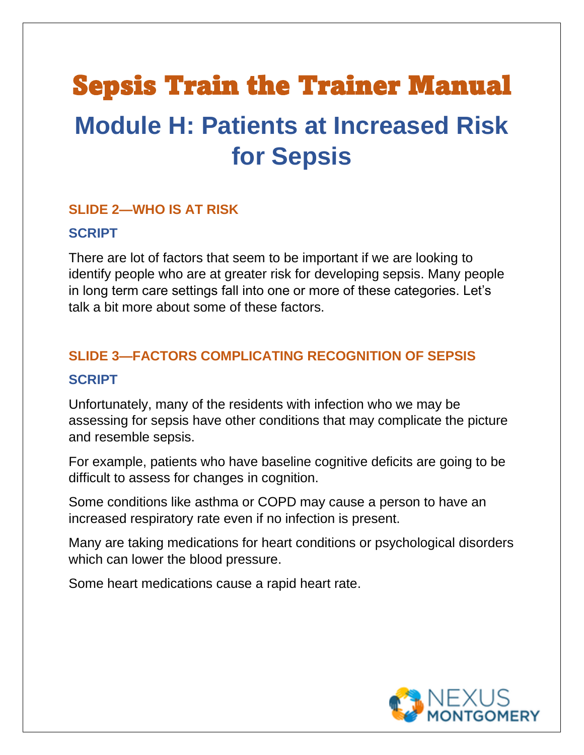# Sepsis Train the Trainer Manual **Module H: Patients at Increased Risk for Sepsis**

#### **SLIDE 2—WHO IS AT RISK**

#### **SCRIPT**

There are lot of factors that seem to be important if we are looking to identify people who are at greater risk for developing sepsis. Many people in long term care settings fall into one or more of these categories. Let's talk a bit more about some of these factors.

#### **SLIDE 3—FACTORS COMPLICATING RECOGNITION OF SEPSIS**

#### **SCRIPT**

Unfortunately, many of the residents with infection who we may be assessing for sepsis have other conditions that may complicate the picture and resemble sepsis.

For example, patients who have baseline cognitive deficits are going to be difficult to assess for changes in cognition.

Some conditions like asthma or COPD may cause a person to have an increased respiratory rate even if no infection is present.

Many are taking medications for heart conditions or psychological disorders which can lower the blood pressure.

Some heart medications cause a rapid heart rate.

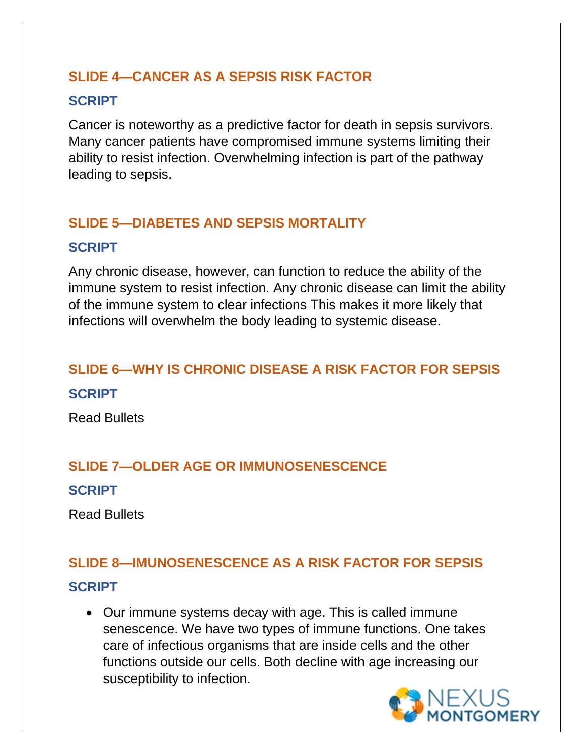#### **SLIDE 4—CANCER AS A SEPSIS RISK FACTOR**

#### **SCRIPT**

Cancer is noteworthy as a predictive factor for death in sepsis survivors. Many cancer patients have compromised immune systems limiting their ability to resist infection. Overwhelming infection is part of the pathway leading to sepsis.

# **SLIDE 5—DIABETES AND SEPSIS MORTALITY**

# **SCRIPT**

Any chronic disease, however, can function to reduce the ability of the immune system to resist infection. Any chronic disease can limit the ability of the immune system to clear infections This makes it more likely that infections will overwhelm the body leading to systemic disease.

# **SLIDE 6—WHY IS CHRONIC DISEASE A RISK FACTOR FOR SEPSIS**

**SCRIPT**

Read Bullets

# **SLIDE 7—OLDER AGE OR IMMUNOSENESCENCE**

### **SCRIPT**

Read Bullets

### **SLIDE 8—IMUNOSENESCENCE AS A RISK FACTOR FOR SEPSIS**

# **SCRIPT**

• Our immune systems decay with age. This is called immune senescence. We have two types of immune functions. One takes care of infectious organisms that are inside cells and the other functions outside our cells. Both decline with age increasing our susceptibility to infection.